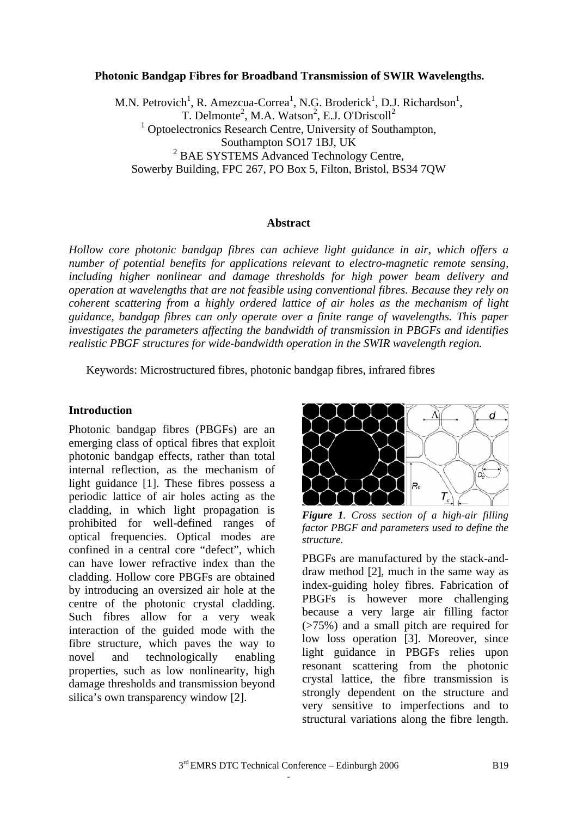#### **Photonic Bandgap Fibres for Broadband Transmission of SWIR Wavelengths.**

M.N. Petrovich<sup>1</sup>, R. Amezcua-Correa<sup>1</sup>, N.G. Broderick<sup>1</sup>, D.J. Richardson<sup>1</sup>, T. Delmonte<sup>2</sup>, M.A. Watson<sup>2</sup>, E.J. O'Driscoll<sup>2</sup> <sup>1</sup> Optoelectronics Research Centre, University of Southampton, Southampton SO17 1BJ, UK <sup>2</sup> BAE SYSTEMS Advanced Technology Centre, Sowerby Building, FPC 267, PO Box 5, Filton, Bristol, BS34 7QW

#### **Abstract**

*Hollow core photonic bandgap fibres can achieve light guidance in air, which offers a number of potential benefits for applications relevant to electro-magnetic remote sensing, including higher nonlinear and damage thresholds for high power beam delivery and operation at wavelengths that are not feasible using conventional fibres. Because they rely on coherent scattering from a highly ordered lattice of air holes as the mechanism of light guidance, bandgap fibres can only operate over a finite range of wavelengths. This paper investigates the parameters affecting the bandwidth of transmission in PBGFs and identifies realistic PBGF structures for wide-bandwidth operation in the SWIR wavelength region.* 

Keywords: Microstructured fibres, photonic bandgap fibres, infrared fibres

#### **Introduction**

Photonic bandgap fibres (PBGFs) are an emerging class of optical fibres that exploit photonic bandgap effects, rather than total internal reflection, as the mechanism of light guidance [1]. These fibres possess a periodic lattice of air holes acting as the cladding, in which light propagation is prohibited for well-defined ranges of optical frequencies. Optical modes are confined in a central core "defect", which can have lower refractive index than the cladding. Hollow core PBGFs are obtained by introducing an oversized air hole at the centre of the photonic crystal cladding. Such fibres allow for a very weak interaction of the guided mode with the fibre structure, which paves the way to novel and technologically enabling properties, such as low nonlinearity, high damage thresholds and transmission beyond silica's own transparency window [2].

the contract of the contract of the contract of the contract of the contract of



*Figure 1. Cross section of a high-air filling factor PBGF and parameters used to define the structure.* 

PBGFs are manufactured by the stack-anddraw method [2], much in the same way as index-guiding holey fibres. Fabrication of PBGFs is however more challenging because a very large air filling factor (>75%) and a small pitch are required for low loss operation [3]. Moreover, since light guidance in PBGFs relies upon resonant scattering from the photonic crystal lattice, the fibre transmission is strongly dependent on the structure and very sensitive to imperfections and to structural variations along the fibre length.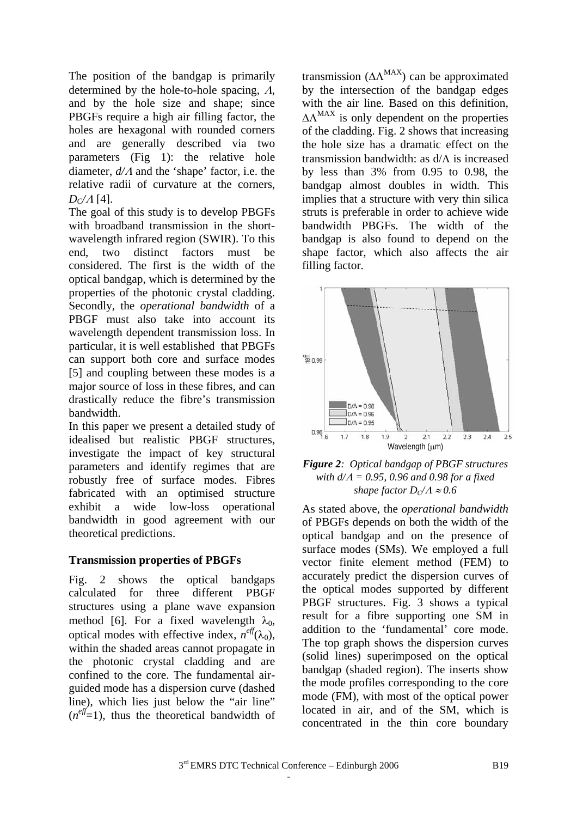The position of the bandgap is primarily determined by the hole-to-hole spacing, Λ, and by the hole size and shape; since PBGFs require a high air filling factor, the holes are hexagonal with rounded corners and are generally described via two parameters (Fig 1): the relative hole diameter, *d/*Λ and the 'shape' factor, i.e. the relative radii of curvature at the corners,  $D_C/A$  [4].

The goal of this study is to develop PBGFs with broadband transmission in the shortwavelength infrared region (SWIR). To this end, two distinct factors must be considered. The first is the width of the optical bandgap, which is determined by the properties of the photonic crystal cladding. Secondly, the *operational bandwidth* of a PBGF must also take into account its wavelength dependent transmission loss. In particular, it is well established that PBGFs can support both core and surface modes [5] and coupling between these modes is a major source of loss in these fibres, and can drastically reduce the fibre's transmission bandwidth.

In this paper we present a detailed study of idealised but realistic PBGF structures, investigate the impact of key structural parameters and identify regimes that are robustly free of surface modes. Fibres fabricated with an optimised structure exhibit a wide low-loss operational bandwidth in good agreement with our theoretical predictions.

# **Transmission properties of PBGFs**

Fig. 2 shows the optical bandgaps calculated for three different PBGF structures using a plane wave expansion method [6]. For a fixed wavelength  $\lambda_0$ , optical modes with effective index,  $n^{eff}(\lambda_0)$ , within the shaded areas cannot propagate in the photonic crystal cladding and are confined to the core. The fundamental airguided mode has a dispersion curve (dashed line), which lies just below the "air line"  $(n^{eff}=1)$ , thus the theoretical bandwidth of

the contract of the contract of the contract of the contract of the contract of

transmission ( $\Delta \Lambda^{MAX}$ ) can be approximated by the intersection of the bandgap edges with the air line*.* Based on this definition,  $\Delta \Lambda^{MAX}$  is only dependent on the properties of the cladding. Fig. 2 shows that increasing the hole size has a dramatic effect on the transmission bandwidth: as d/Λ is increased by less than 3% from 0.95 to 0.98, the bandgap almost doubles in width. This implies that a structure with very thin silica struts is preferable in order to achieve wide bandwidth PBGFs. The width of the bandgap is also found to depend on the shape factor, which also affects the air filling factor.





As stated above, the *operational bandwidth* of PBGFs depends on both the width of the optical bandgap and on the presence of surface modes (SMs). We employed a full vector finite element method (FEM) to accurately predict the dispersion curves of the optical modes supported by different PBGF structures. Fig. 3 shows a typical result for a fibre supporting one SM in addition to the 'fundamental' core mode. The top graph shows the dispersion curves (solid lines) superimposed on the optical bandgap (shaded region). The inserts show the mode profiles corresponding to the core mode (FM), with most of the optical power located in air, and of the SM, which is concentrated in the thin core boundary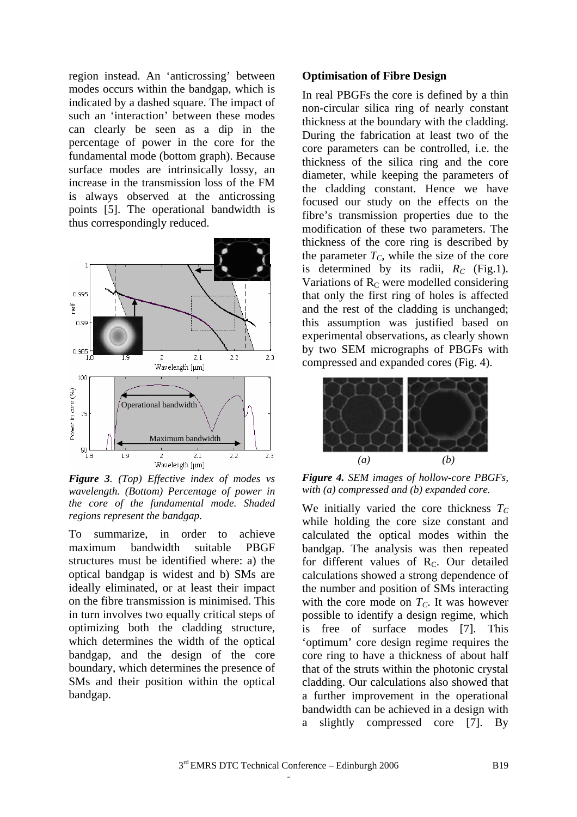region instead. An 'anticrossing' between modes occurs within the bandgap, which is indicated by a dashed square. The impact of such an 'interaction' between these modes can clearly be seen as a dip in the percentage of power in the core for the fundamental mode (bottom graph). Because surface modes are intrinsically lossy, an increase in the transmission loss of the FM is always observed at the anticrossing points [5]. The operational bandwidth is thus correspondingly reduced.



*Figure 3. (Top) Effective index of modes vs wavelength. (Bottom) Percentage of power in the core of the fundamental mode. Shaded regions represent the bandgap.* 

To summarize, in order to achieve maximum bandwidth suitable PBGF structures must be identified where: a) the optical bandgap is widest and b) SMs are ideally eliminated, or at least their impact on the fibre transmission is minimised. This in turn involves two equally critical steps of optimizing both the cladding structure, which determines the width of the optical bandgap, and the design of the core boundary, which determines the presence of SMs and their position within the optical bandgap.

the contract of the contract of the contract of the contract of the contract of

## **Optimisation of Fibre Design**

In real PBGFs the core is defined by a thin non-circular silica ring of nearly constant thickness at the boundary with the cladding. During the fabrication at least two of the core parameters can be controlled, i.e. the thickness of the silica ring and the core diameter, while keeping the parameters of the cladding constant. Hence we have focused our study on the effects on the fibre's transmission properties due to the modification of these two parameters. The thickness of the core ring is described by the parameter  $T_c$ , while the size of the core is determined by its radii,  $R_C$  (Fig.1). Variations of  $R<sub>C</sub>$  were modelled considering that only the first ring of holes is affected and the rest of the cladding is unchanged; this assumption was justified based on experimental observations, as clearly shown by two SEM micrographs of PBGFs with compressed and expanded cores (Fig. 4).



*Figure 4. SEM images of hollow-core PBGFs, with (a) compressed and (b) expanded core.* 

We initially varied the core thickness  $T_C$ while holding the core size constant and calculated the optical modes within the bandgap. The analysis was then repeated for different values of R<sub>C</sub>. Our detailed calculations showed a strong dependence of the number and position of SMs interacting with the core mode on  $T<sub>C</sub>$ . It was however possible to identify a design regime, which is free of surface modes [7]. This 'optimum' core design regime requires the core ring to have a thickness of about half that of the struts within the photonic crystal cladding. Our calculations also showed that a further improvement in the operational bandwidth can be achieved in a design with a slightly compressed core [7]. By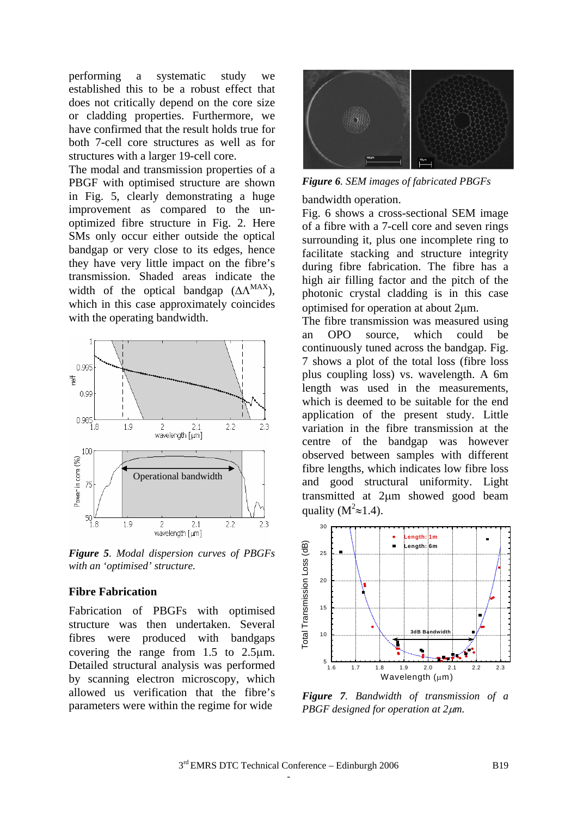performing a systematic study we established this to be a robust effect that does not critically depend on the core size or cladding properties. Furthermore, we have confirmed that the result holds true for both 7-cell core structures as well as for structures with a larger 19-cell core.

The modal and transmission properties of a PBGF with optimised structure are shown in Fig. 5, clearly demonstrating a huge improvement as compared to the unoptimized fibre structure in Fig. 2. Here SMs only occur either outside the optical bandgap or very close to its edges, hence they have very little impact on the fibre's transmission. Shaded areas indicate the width of the optical bandgap  $(ΔΛ<sup>MAX</sup>)$ , which in this case approximately coincides with the operating bandwidth.



*Figure 5. Modal dispersion curves of PBGFs with an 'optimised' structure.* 

### **Fibre Fabrication**

Fabrication of PBGFs with optimised structure was then undertaken. Several fibres were produced with bandgaps covering the range from 1.5 to 2.5µm. Detailed structural analysis was performed by scanning electron microscopy, which allowed us verification that the fibre's parameters were within the regime for wide

the contract of the contract of the contract of the contract of the contract of



*Figure 6. SEM images of fabricated PBGFs* 

bandwidth operation.

Fig. 6 shows a cross-sectional SEM image of a fibre with a 7-cell core and seven rings surrounding it, plus one incomplete ring to facilitate stacking and structure integrity during fibre fabrication. The fibre has a high air filling factor and the pitch of the photonic crystal cladding is in this case optimised for operation at about 2µm.

The fibre transmission was measured using an OPO source, which could be continuously tuned across the bandgap. Fig. 7 shows a plot of the total loss (fibre loss plus coupling loss) vs. wavelength. A 6m length was used in the measurements, which is deemed to be suitable for the end application of the present study. Little variation in the fibre transmission at the centre of the bandgap was however observed between samples with different fibre lengths, which indicates low fibre loss and good structural uniformity. Light transmitted at 2µm showed good beam quality ( $M^2 \approx 1.4$ ).



*Figure 7. Bandwidth of transmission of a PBGF designed for operation at 2*µ*m.*